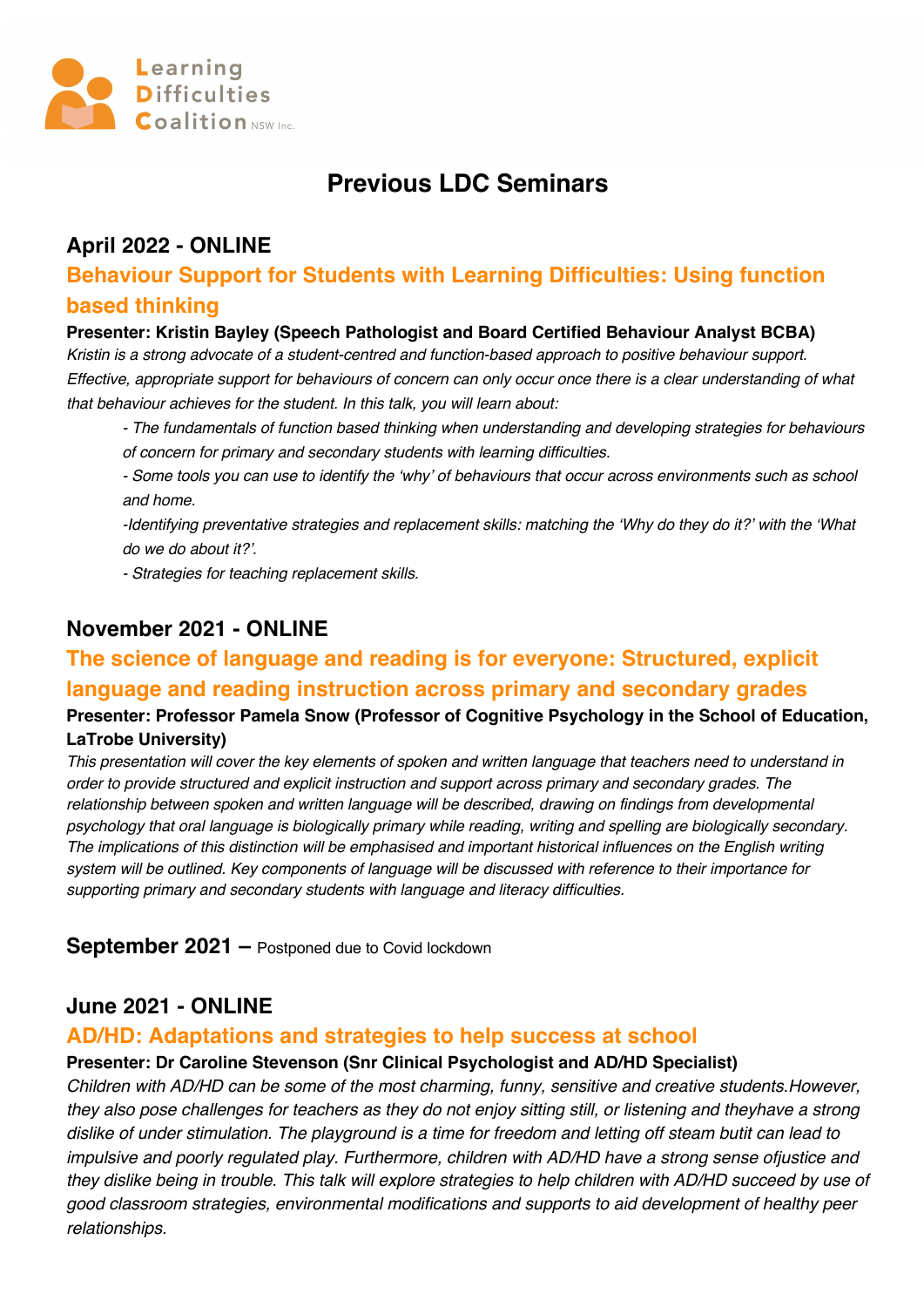

# **Previous LDC Seminars**

### **April 2022 - ONLINE**

# **Behaviour Support for Students with Learning Difficulties: Using function based thinking**

#### **Presenter: Kristin Bayley (Speech Pathologist and Board Certified Behaviour Analyst BCBA)**

*Kristin is a strong advocate of a student-centred and function-based approach to positive behaviour support. Effective, appropriate support for behaviours of concern can only occur once there is a clear understanding of what that behaviour achieves for the student. In this talk, you will learn about:*

*- The fundamentals of function based thinking when understanding and developing strategies for behaviours of concern for primary and secondary students with learning difficulties.* 

*- Some tools you can use to identify the 'why' of behaviours that occur across environments such as school and home.* 

*-Identifying preventative strategies and replacement skills: matching the 'Why do they do it?' with the 'What do we do about it?'.*

*- Strategies for teaching replacement skills.*

### **November 2021 - ONLINE**

# **The science of language and reading is for everyone: Structured, explicit language and reading instruction across primary and secondary grades**

#### **Presenter: Professor Pamela Snow (Professor of Cognitive Psychology in the School of Education, LaTrobe University)**

*This presentation will cover the key elements of spoken and written language that teachers need to understand in order to provide structured and explicit instruction and support across primary and secondary grades. The relationship between spoken and written language will be described, drawing on findings from developmental psychology that oral language is biologically primary while reading, writing and spelling are biologically secondary. The implications of this distinction will be emphasised and important historical influences on the English writing system will be outlined. Key components of language will be discussed with reference to their importance for supporting primary and secondary students with language and literacy difficulties.*

**September 2021 –** Postponed due to Covid lockdown

# **June 2021 - ONLINE**

#### **AD/HD: Adaptations and strategies to help success at school**

#### **Presenter: Dr Caroline Stevenson (Snr Clinical Psychologist and AD/HD Specialist)**

*Children with AD/HD can be some of the most charming, funny, sensitive and creative students.However, they also pose challenges for teachers as they do not enjoy sitting still, or listening and theyhave a strong dislike of under stimulation. The playground is a time for freedom and letting off steam butit can lead to impulsive and poorly regulated play. Furthermore, children with AD/HD have a strong sense ofjustice and they dislike being in trouble. This talk will explore strategies to help children with AD/HD succeed by use of good classroom strategies, environmental modifications and supports to aid development of healthy peer relationships.*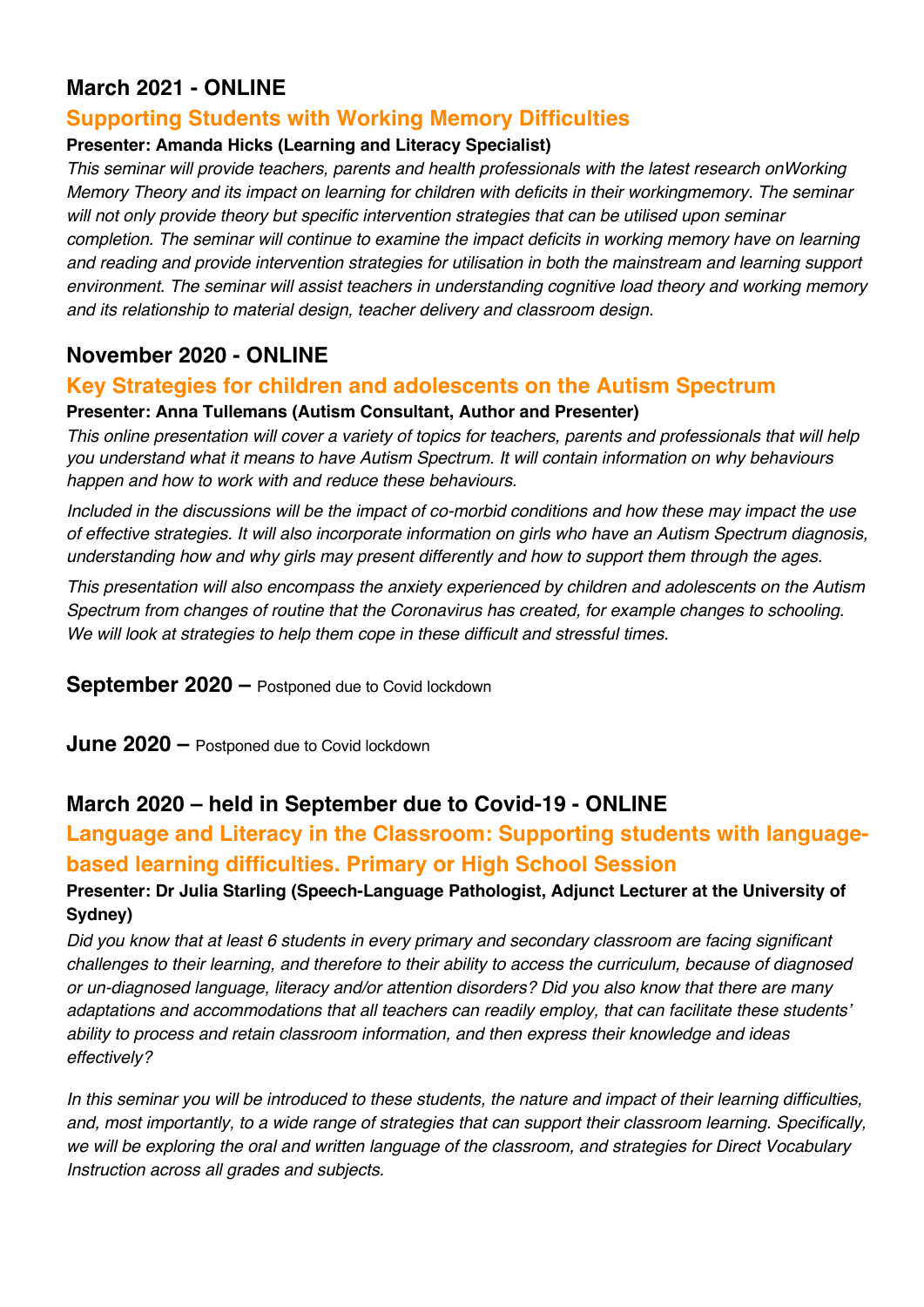# **March 2021 - ONLINE**

### **Supporting Students with Working Memory Difficulties**

#### **Presenter: Amanda Hicks (Learning and Literacy Specialist)**

*This seminar will provide teachers, parents and health professionals with the latest research onWorking Memory Theory and its impact on learning for children with deficits in their workingmemory. The seminar*  will not only provide theory but specific intervention strategies that can be utilised upon seminar *completion. The seminar will continue to examine the impact deficits in working memory have on learning and reading and provide intervention strategies for utilisation in both the mainstream and learning support environment. The seminar will assist teachers in understanding cognitive load theory and working memory and its relationship to material design, teacher delivery and classroom design.* 

# **November 2020 - ONLINE**

#### **Key Strategies for children and adolescents on the Autism Spectrum**

#### **Presenter: Anna Tullemans (Autism Consultant, Author and Presenter)**

*This online presentation will cover a variety of topics for teachers, parents and professionals that will help you understand what it means to have Autism Spectrum. It will contain information on why behaviours happen and how to work with and reduce these behaviours.*

*Included in the discussions will be the impact of co-morbid conditions and how these may impact the use of effective strategies. It will also incorporate information on girls who have an Autism Spectrum diagnosis, understanding how and why girls may present differently and how to support them through the ages.* 

*This presentation will also encompass the anxiety experienced by children and adolescents on the Autism Spectrum from changes of routine that the Coronavirus has created, for example changes to schooling. We will look at strategies to help them cope in these difficult and stressful times.*

**September 2020 –** Postponed due to Covid lockdown

**June 2020 –** Postponed due to Covid lockdown

### **March 2020 – held in September due to Covid-19 - ONLINE**

# **Language and Literacy in the Classroom: Supporting students with languagebased learning difficulties. Primary or High School Session**

#### **Presenter: Dr Julia Starling (Speech-Language Pathologist, Adjunct Lecturer at the University of Sydney)**

*Did you know that at least 6 students in every primary and secondary classroom are facing significant challenges to their learning, and therefore to their ability to access the curriculum, because of diagnosed or un-diagnosed language, literacy and/or attention disorders? Did you also know that there are many adaptations and accommodations that all teachers can readily employ, that can facilitate these students' ability to process and retain classroom information, and then express their knowledge and ideas effectively?* 

*In this seminar you will be introduced to these students, the nature and impact of their learning difficulties, and, most importantly, to a wide range of strategies that can support their classroom learning. Specifically, we will be exploring the oral and written language of the classroom, and strategies for Direct Vocabulary Instruction across all grades and subjects.*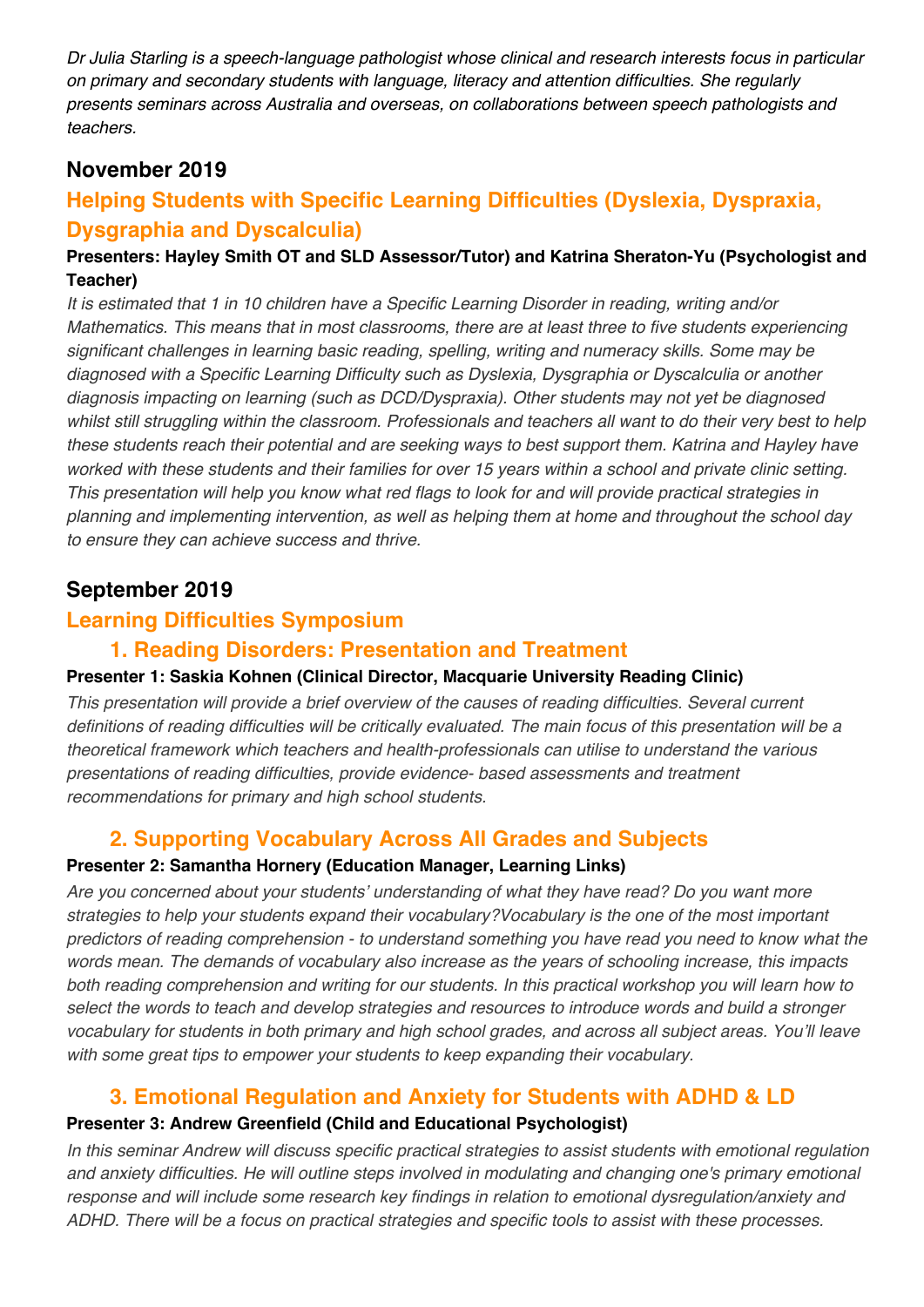*Dr Julia Starling is a speech-language pathologist whose clinical and research interests focus in particular on primary and secondary students with language, literacy and attention difficulties. She regularly presents seminars across Australia and overseas, on collaborations between speech pathologists and teachers.* 

# **November 2019**

# **Helping Students with Specific Learning Difficulties (Dyslexia, Dyspraxia, Dysgraphia and Dyscalculia)**

#### **Presenters: Hayley Smith OT and SLD Assessor/Tutor) and Katrina Sheraton-Yu (Psychologist and Teacher)**

*It is estimated that 1 in 10 children have a Specific Learning Disorder in reading, writing and/or Mathematics. This means that in most classrooms, there are at least three to five students experiencing significant challenges in learning basic reading, spelling, writing and numeracy skills. Some may be diagnosed with a Specific Learning Difficulty such as Dyslexia, Dysgraphia or Dyscalculia or another diagnosis impacting on learning (such as DCD/Dyspraxia). Other students may not yet be diagnosed whilst still struggling within the classroom. Professionals and teachers all want to do their very best to help these students reach their potential and are seeking ways to best support them. Katrina and Hayley have worked with these students and their families for over 15 years within a school and private clinic setting. This presentation will help you know what red flags to look for and will provide practical strategies in planning and implementing intervention, as well as helping them at home and throughout the school day to ensure they can achieve success and thrive.*

# **September 2019**

# **Learning Difficulties Symposium**

### **1. Reading Disorders: Presentation and Treatment**

#### **Presenter 1: Saskia Kohnen (Clinical Director, Macquarie University Reading Clinic)**

*This presentation will provide a brief overview of the causes of reading difficulties. Several current definitions of reading difficulties will be critically evaluated. The main focus of this presentation will be a theoretical framework which teachers and health-professionals can utilise to understand the various presentations of reading difficulties, provide evidence- based assessments and treatment recommendations for primary and high school students.* 

### **2. Supporting Vocabulary Across All Grades and Subjects**

#### **Presenter 2: Samantha Hornery (Education Manager, Learning Links)**

*Are you concerned about your students' understanding of what they have read? Do you want more strategies to help your students expand their vocabulary?Vocabulary is the one of the most important predictors of reading comprehension - to understand something you have read you need to know what the words mean. The demands of vocabulary also increase as the years of schooling increase, this impacts both reading comprehension and writing for our students. In this practical workshop you will learn how to select the words to teach and develop strategies and resources to introduce words and build a stronger vocabulary for students in both primary and high school grades, and across all subject areas. You'll leave with some great tips to empower your students to keep expanding their vocabulary.* 

# **3. Emotional Regulation and Anxiety for Students with ADHD & LD**

#### **Presenter 3: Andrew Greenfield (Child and Educational Psychologist)**

*In this seminar Andrew will discuss specific practical strategies to assist students with emotional regulation and anxiety difficulties. He will outline steps involved in modulating and changing one's primary emotional response and will include some research key findings in relation to emotional dysregulation/anxiety and ADHD. There will be a focus on practical strategies and specific tools to assist with these processes.*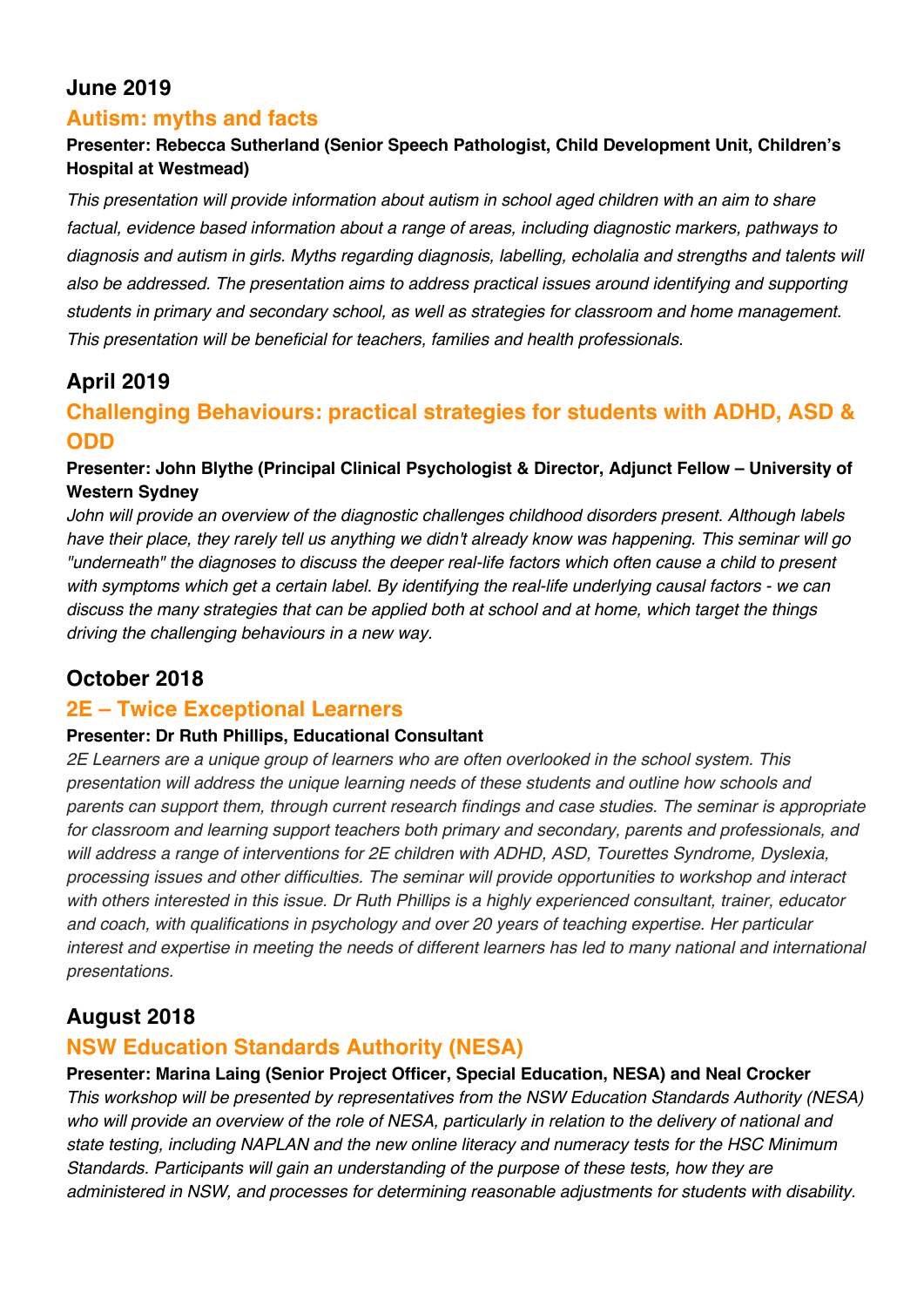# **June 2019**

### **Autism: myths and facts**

#### **Presenter: Rebecca Sutherland (Senior Speech Pathologist, Child Development Unit, Children's Hospital at Westmead)**

*This presentation will provide information about autism in school aged children with an aim to share factual, evidence based information about a range of areas, including diagnostic markers, pathways to diagnosis and autism in girls. Myths regarding diagnosis, labelling, echolalia and strengths and talents will also be addressed. The presentation aims to address practical issues around identifying and supporting students in primary and secondary school, as well as strategies for classroom and home management. This presentation will be beneficial for teachers, families and health professionals.* 

# **April 2019**

# **Challenging Behaviours: practical strategies for students with ADHD, ASD & ODD**

#### **Presenter: John Blythe (Principal Clinical Psychologist & Director, Adjunct Fellow – University of Western Sydney**

*John will provide an overview of the diagnostic challenges childhood disorders present. Although labels have their place, they rarely tell us anything we didn't already know was happening. This seminar will go "underneath" the diagnoses to discuss the deeper real-life factors which often cause a child to present with symptoms which get a certain label. By identifying the real-life underlying causal factors - we can discuss the many strategies that can be applied both at school and at home, which target the things driving the challenging behaviours in a new way.* 

# **October 2018**

### **2E – Twice Exceptional Learners**

#### **Presenter: Dr Ruth Phillips, Educational Consultant**

*2E Learners are a unique group of learners who are often overlooked in the school system. This presentation will address the unique learning needs of these students and outline how schools and parents can support them, through current research findings and case studies. The seminar is appropriate for classroom and learning support teachers both primary and secondary, parents and professionals, and will address a range of interventions for 2E children with ADHD, ASD, Tourettes Syndrome, Dyslexia, processing issues and other difficulties. The seminar will provide opportunities to workshop and interact with others interested in this issue. Dr Ruth Phillips is a highly experienced consultant, trainer, educator and coach, with qualifications in psychology and over 20 years of teaching expertise. Her particular interest and expertise in meeting the needs of different learners has led to many national and international presentations.* 

# **August 2018**

### **NSW Education Standards Authority (NESA)**

#### **Presenter: Marina Laing (Senior Project Officer, Special Education, NESA) and Neal Crocker**

*This workshop will be presented by representatives from the NSW Education Standards Authority (NESA) who will provide an overview of the role of NESA, particularly in relation to the delivery of national and state testing, including NAPLAN and the new online literacy and numeracy tests for the HSC Minimum Standards. Participants will gain an understanding of the purpose of these tests, how they are administered in NSW, and processes for determining reasonable adjustments for students with disability.*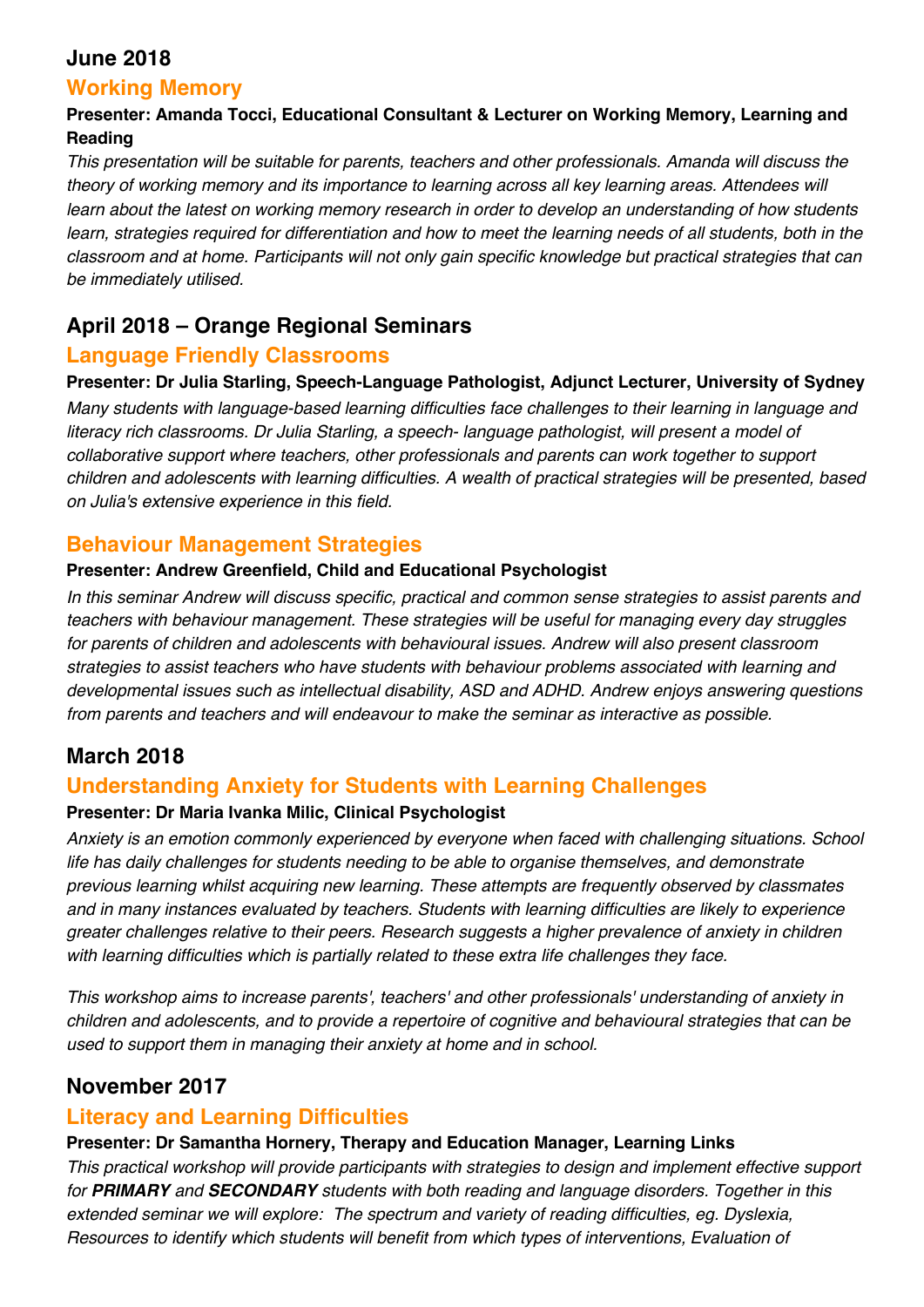### **June 2018**

### **Working Memory**

#### **Presenter: Amanda Tocci, Educational Consultant & Lecturer on Working Memory, Learning and Reading**

*This presentation will be suitable for parents, teachers and other professionals. Amanda will discuss the theory of working memory and its importance to learning across all key learning areas. Attendees will learn about the latest on working memory research in order to develop an understanding of how students learn, strategies required for differentiation and how to meet the learning needs of all students, both in the classroom and at home. Participants will not only gain specific knowledge but practical strategies that can be immediately utilised.* 

# **April 2018 – Orange Regional Seminars**

### **Language Friendly Classrooms**

#### **Presenter: Dr Julia Starling, Speech-Language Pathologist, Adjunct Lecturer, University of Sydney**

*Many students with language-based learning difficulties face challenges to their learning in language and literacy rich classrooms. Dr Julia Starling, a speech- language pathologist, will present a model of collaborative support where teachers, other professionals and parents can work together to support children and adolescents with learning difficulties. A wealth of practical strategies will be presented, based on Julia's extensive experience in this field.* 

#### **Behaviour Management Strategies**

#### **Presenter: Andrew Greenfield, Child and Educational Psychologist**

*In this seminar Andrew will discuss specific, practical and common sense strategies to assist parents and teachers with behaviour management. These strategies will be useful for managing every day struggles for parents of children and adolescents with behavioural issues. Andrew will also present classroom strategies to assist teachers who have students with behaviour problems associated with learning and developmental issues such as intellectual disability, ASD and ADHD. Andrew enjoys answering questions from parents and teachers and will endeavour to make the seminar as interactive as possible.* 

# **March 2018**

### **Understanding Anxiety for Students with Learning Challenges**

#### **Presenter: Dr Maria Ivanka Milic, Clinical Psychologist**

*Anxiety is an emotion commonly experienced by everyone when faced with challenging situations. School life has daily challenges for students needing to be able to organise themselves, and demonstrate previous learning whilst acquiring new learning. These attempts are frequently observed by classmates and in many instances evaluated by teachers. Students with learning difficulties are likely to experience greater challenges relative to their peers. Research suggests a higher prevalence of anxiety in children with learning difficulties which is partially related to these extra life challenges they face.* 

*This workshop aims to increase parents', teachers' and other professionals' understanding of anxiety in children and adolescents, and to provide a repertoire of cognitive and behavioural strategies that can be used to support them in managing their anxiety at home and in school.* 

# **November 2017**

# **Literacy and Learning Difficulties**

# **Presenter: Dr Samantha Hornery, Therapy and Education Manager, Learning Links**

*This practical workshop will provide participants with strategies to design and implement effective support for PRIMARY and SECONDARY students with both reading and language disorders. Together in this extended seminar we will explore: The spectrum and variety of reading difficulties, eg. Dyslexia, Resources to identify which students will benefit from which types of interventions, Evaluation of*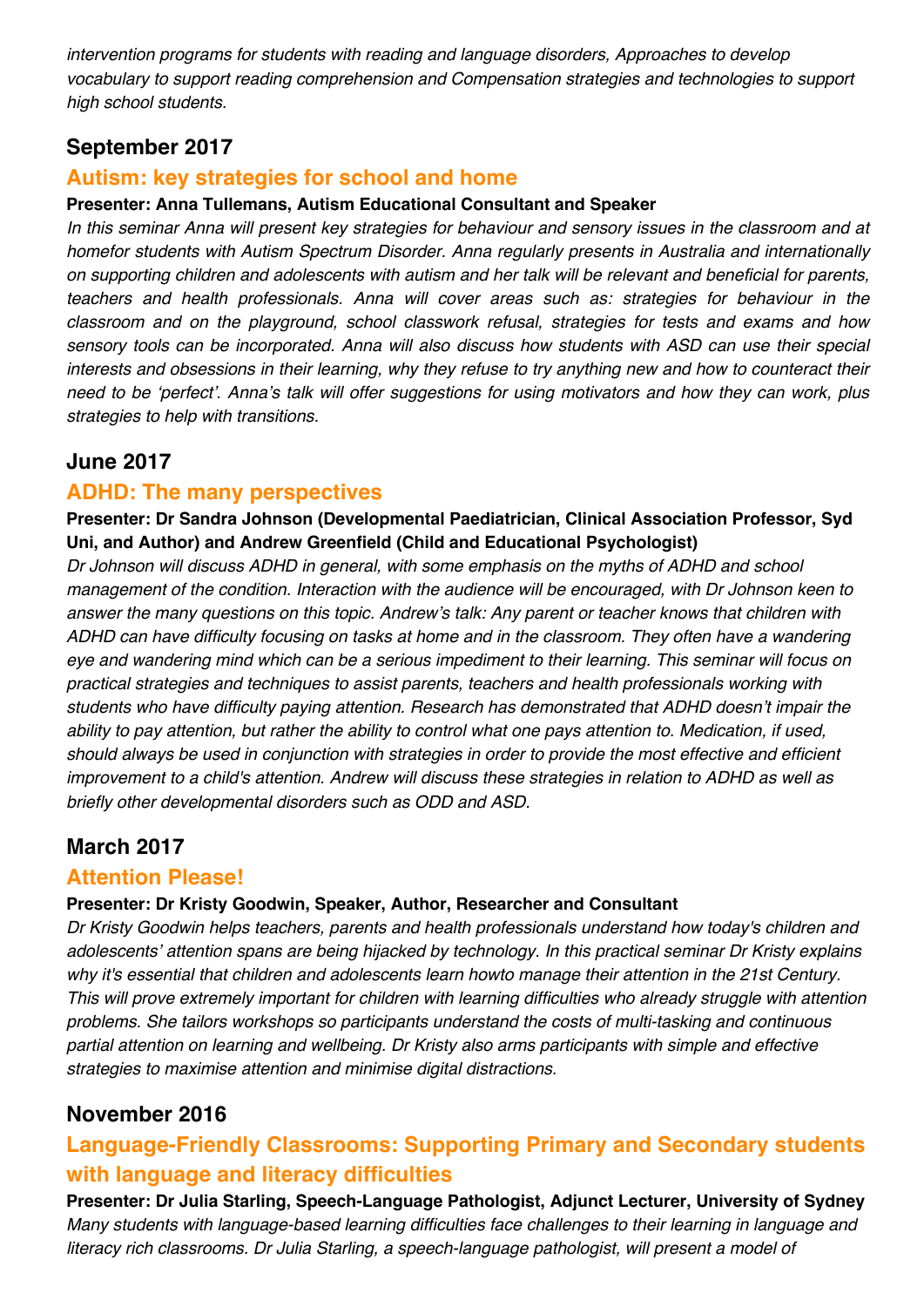*intervention programs for students with reading and language disorders, Approaches to develop vocabulary to support reading comprehension and Compensation strategies and technologies to support high school students.*

# **September 2017**

### **Autism: key strategies for school and home**

#### **Presenter: Anna Tullemans, Autism Educational Consultant and Speaker**

*In this seminar Anna will present key strategies for behaviour and sensory issues in the classroom and at homefor students with Autism Spectrum Disorder. Anna regularly presents in Australia and internationally on supporting children and adolescents with autism and her talk will be relevant and beneficial for parents, teachers and health professionals. Anna will cover areas such as: strategies for behaviour in the classroom and on the playground, school classwork refusal, strategies for tests and exams and how sensory tools can be incorporated. Anna will also discuss how students with ASD can use their special interests and obsessions in their learning, why they refuse to try anything new and how to counteract their need to be* ʻ*perfect*'*. Anna*'*s talk will offer suggestions for using motivators and how they can work, plus strategies to help with transitions.* 

#### **June 2017**

#### **ADHD: The many perspectives**

**Presenter: Dr Sandra Johnson (Developmental Paediatrician, Clinical Association Professor, Syd Uni, and Author) and Andrew Greenfield (Child and Educational Psychologist)**

*Dr Johnson will discuss ADHD in general, with some emphasis on the myths of ADHD and school management of the condition. Interaction with the audience will be encouraged, with Dr Johnson keen to answer the many questions on this topic. Andrew*'*s talk: Any parent or teacher knows that children with ADHD can have difficulty focusing on tasks at home and in the classroom. They often have a wandering eye and wandering mind which can be a serious impediment to their learning. This seminar will focus on practical strategies and techniques to assist parents, teachers and health professionals working with students who have difficulty paying attention. Research has demonstrated that ADHD doesn*'*t impair the ability to pay attention, but rather the ability to control what one pays attention to. Medication, if used, should always be used in conjunction with strategies in order to provide the most effective and efficient improvement to a child's attention. Andrew will discuss these strategies in relation to ADHD as well as briefly other developmental disorders such as ODD and ASD.* 

# **March 2017**

#### **Attention Please!**

#### **Presenter: Dr Kristy Goodwin, Speaker, Author, Researcher and Consultant**

*Dr Kristy Goodwin helps teachers, parents and health professionals understand how today's children and adolescents*' *attention spans are being hijacked by technology. In this practical seminar Dr Kristy explains why it's essential that children and adolescents learn howto manage their attention in the 21st Century. This will prove extremely important for children with learning difficulties who already struggle with attention problems. She tailors workshops so participants understand the costs of multi-tasking and continuous partial attention on learning and wellbeing. Dr Kristy also arms participants with simple and effective strategies to maximise attention and minimise digital distractions.* 

### **November 2016**

# **Language-Friendly Classrooms: Supporting Primary and Secondary students with language and literacy difficulties**

**Presenter: Dr Julia Starling, Speech-Language Pathologist, Adjunct Lecturer, University of Sydney** *Many students with language-based learning difficulties face challenges to their learning in language and literacy rich classrooms. Dr Julia Starling, a speech-language pathologist, will present a model of*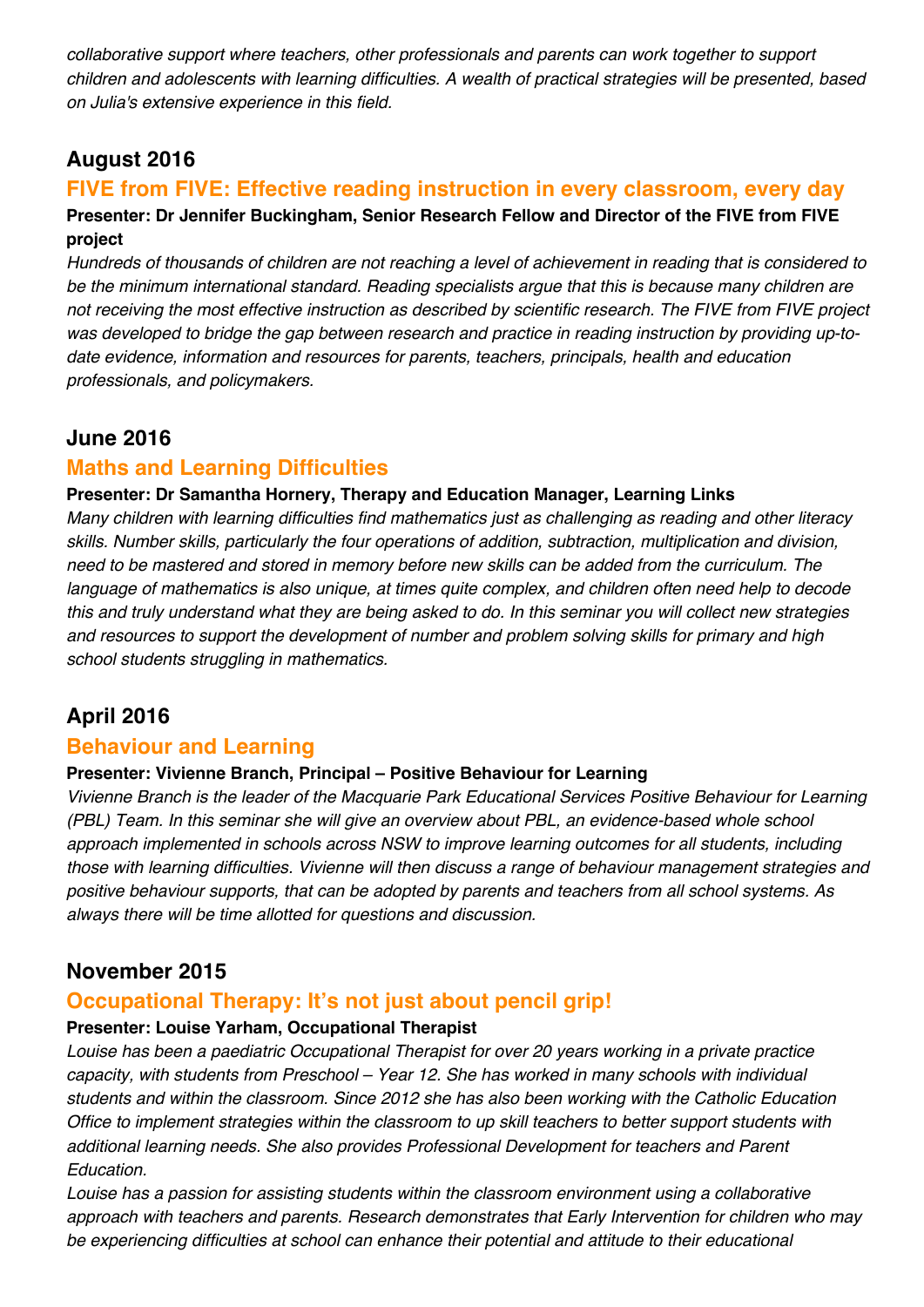*collaborative support where teachers, other professionals and parents can work together to support children and adolescents with learning difficulties. A wealth of practical strategies will be presented, based on Julia's extensive experience in this field.*

# **August 2016**

#### **FIVE from FIVE: Effective reading instruction in every classroom, every day Presenter: Dr Jennifer Buckingham, Senior Research Fellow and Director of the FIVE from FIVE project**

*Hundreds of thousands of children are not reaching a level of achievement in reading that is considered to be the minimum international standard. Reading specialists argue that this is because many children are not receiving the most effective instruction as described by scientific research. The FIVE from FIVE project was developed to bridge the gap between research and practice in reading instruction by providing up-todate evidence, information and resources for parents, teachers, principals, health and education professionals, and policymakers.*

### **June 2016**

### **Maths and Learning Difficulties**

#### **Presenter: Dr Samantha Hornery, Therapy and Education Manager, Learning Links**

*Many children with learning difficulties find mathematics just as challenging as reading and other literacy skills. Number skills, particularly the four operations of addition, subtraction, multiplication and division, need to be mastered and stored in memory before new skills can be added from the curriculum. The language of mathematics is also unique, at times quite complex, and children often need help to decode this and truly understand what they are being asked to do. In this seminar you will collect new strategies and resources to support the development of number and problem solving skills for primary and high school students struggling in mathematics.*

# **April 2016**

#### **Behaviour and Learning**

#### **Presenter: Vivienne Branch, Principal – Positive Behaviour for Learning**

*Vivienne Branch is the leader of the Macquarie Park Educational Services Positive Behaviour for Learning (PBL) Team. In this seminar she will give an overview about PBL, an evidence-based whole school approach implemented in schools across NSW to improve learning outcomes for all students, including those with learning difficulties. Vivienne will then discuss a range of behaviour management strategies and positive behaviour supports, that can be adopted by parents and teachers from all school systems. As always there will be time allotted for questions and discussion.*

# **November 2015**

### **Occupational Therapy: It's not just about pencil grip!**

#### **Presenter: Louise Yarham, Occupational Therapist**

*Louise has been a paediatric Occupational Therapist for over 20 years working in a private practice capacity, with students from Preschool – Year 12. She has worked in many schools with individual students and within the classroom. Since 2012 she has also been working with the Catholic Education Office to implement strategies within the classroom to up skill teachers to better support students with additional learning needs. She also provides Professional Development for teachers and Parent Education.*

*Louise has a passion for assisting students within the classroom environment using a collaborative approach with teachers and parents. Research demonstrates that Early Intervention for children who may be experiencing difficulties at school can enhance their potential and attitude to their educational*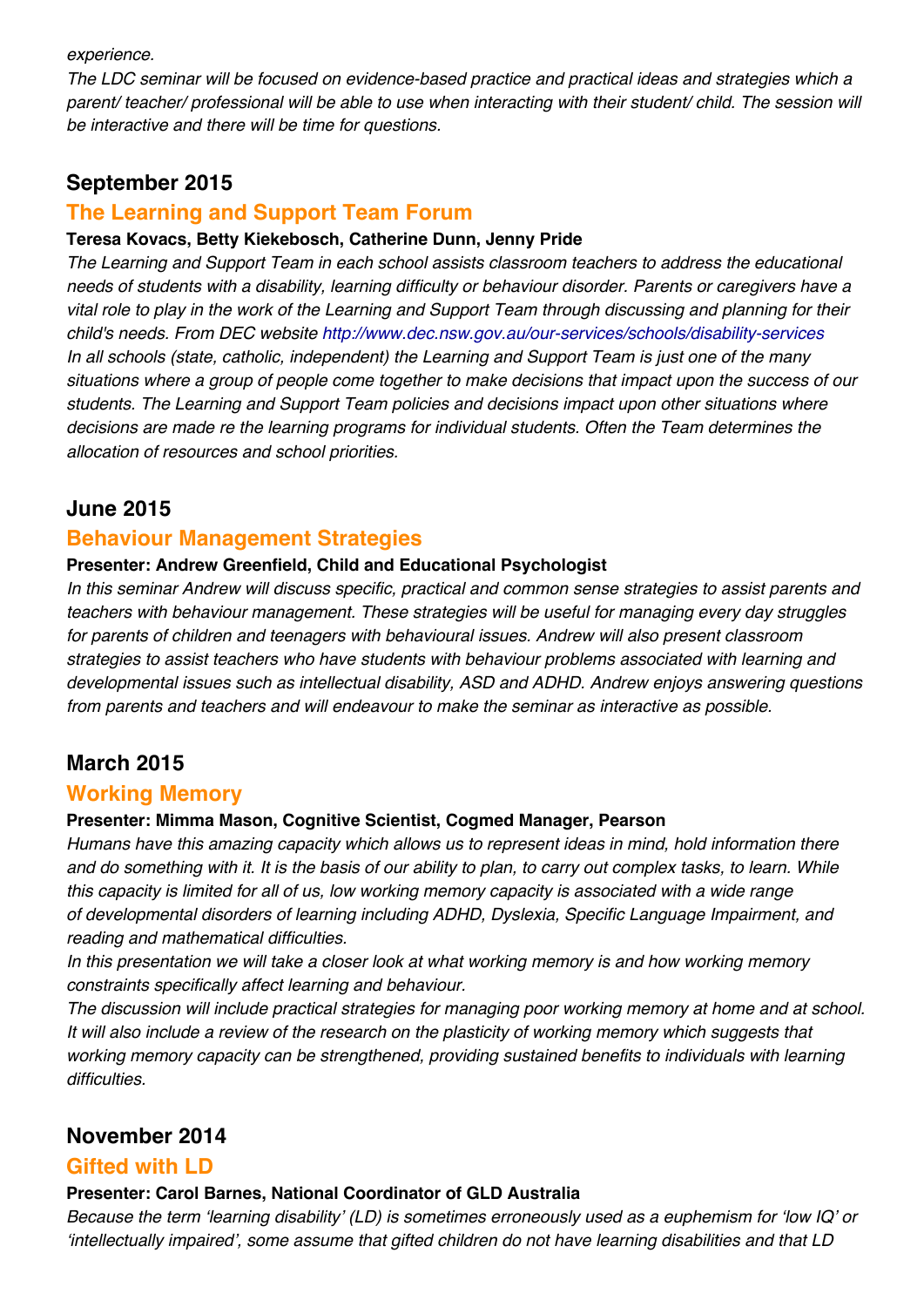#### *experience.*

*The LDC seminar will be focused on evidence-based practice and practical ideas and strategies which a parent/ teacher/ professional will be able to use when interacting with their student/ child. The session will be interactive and there will be time for questions.*

### **September 2015**

#### **The Learning and Support Team Forum**

#### **Teresa Kovacs, Betty Kiekebosch, Catherine Dunn, Jenny Pride**

*The Learning and Support Team in each school assists classroom teachers to address the educational needs of students with a disability, learning difficulty or behaviour disorder. Parents or caregivers have a vital role to play in the work of the Learning and Support Team through discussing and planning for their child's needs. From DEC website http://www.dec.nsw.gov.au/our-services/schools/disability-services In all schools (state, catholic, independent) the Learning and Support Team is just one of the many situations where a group of people come together to make decisions that impact upon the success of our students. The Learning and Support Team policies and decisions impact upon other situations where decisions are made re the learning programs for individual students. Often the Team determines the allocation of resources and school priorities.*

### **June 2015**

#### **Behaviour Management Strategies**

#### **Presenter: Andrew Greenfield, Child and Educational Psychologist**

*In this seminar Andrew will discuss specific, practical and common sense strategies to assist parents and teachers with behaviour management. These strategies will be useful for managing every day struggles for parents of children and teenagers with behavioural issues. Andrew will also present classroom strategies to assist teachers who have students with behaviour problems associated with learning and developmental issues such as intellectual disability, ASD and ADHD. Andrew enjoys answering questions from parents and teachers and will endeavour to make the seminar as interactive as possible.*

# **March 2015**

#### **Working Memory**

#### **Presenter: Mimma Mason, Cognitive Scientist, Cogmed Manager, Pearson**

*Humans have this amazing capacity which allows us to represent ideas in mind, hold information there and do something with it. It is the basis of our ability to plan, to carry out complex tasks, to learn. While this capacity is limited for all of us, low working memory capacity is associated with a wide range of developmental disorders of learning including ADHD, Dyslexia, Specific Language Impairment, and reading and mathematical difficulties.*

*In this presentation we will take a closer look at what working memory is and how working memory constraints specifically affect learning and behaviour.*

*The discussion will include practical strategies for managing poor working memory at home and at school. It will also include a review of the research on the plasticity of working memory which suggests that working memory capacity can be strengthened, providing sustained benefits to individuals with learning difficulties.*

# **November 2014**

#### **Gifted with LD**

#### **Presenter: Carol Barnes, National Coordinator of GLD Australia**

*Because the term 'learning disability' (LD) is sometimes erroneously used as a euphemism for 'low IQ' or 'intellectually impaired', some assume that gifted children do not have learning disabilities and that LD*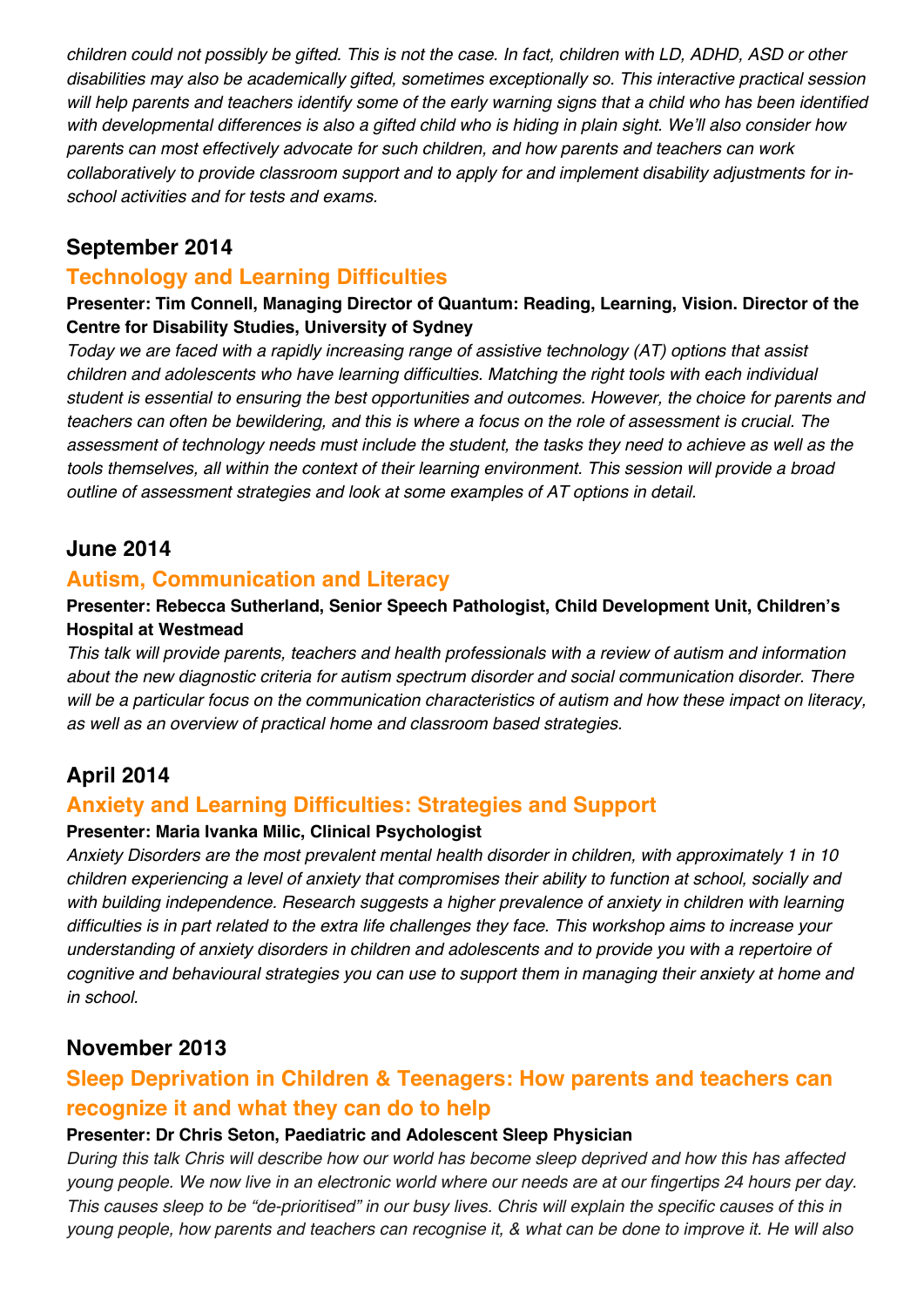*children could not possibly be gifted. This is not the case. In fact, children with LD, ADHD, ASD or other disabilities may also be academically gifted, sometimes exceptionally so. This interactive practical session*  will help parents and teachers identify some of the early warning signs that a child who has been identified *with developmental differences is also a gifted child who is hiding in plain sight. We'll also consider how parents can most effectively advocate for such children, and how parents and teachers can work collaboratively to provide classroom support and to apply for and implement disability adjustments for inschool activities and for tests and exams.*

### **September 2014**

### **Technology and Learning Difficulties**

#### **Presenter: Tim Connell, Managing Director of Quantum: Reading, Learning, Vision. Director of the Centre for Disability Studies, University of Sydney**

*Today we are faced with a rapidly increasing range of assistive technology (AT) options that assist children and adolescents who have learning difficulties. Matching the right tools with each individual student is essential to ensuring the best opportunities and outcomes. However, the choice for parents and teachers can often be bewildering, and this is where a focus on the role of assessment is crucial. The assessment of technology needs must include the student, the tasks they need to achieve as well as the tools themselves, all within the context of their learning environment. This session will provide a broad outline of assessment strategies and look at some examples of AT options in detail.*

### **June 2014**

#### **Autism, Communication and Literacy**

#### **Presenter: Rebecca Sutherland, Senior Speech Pathologist, Child Development Unit, Children's Hospital at Westmead**

*This talk will provide parents, teachers and health professionals with a review of autism and information about the new diagnostic criteria for autism spectrum disorder and social communication disorder. There will be a particular focus on the communication characteristics of autism and how these impact on literacy, as well as an overview of practical home and classroom based strategies.*

# **April 2014**

### **Anxiety and Learning Difficulties: Strategies and Support**

#### **Presenter: Maria Ivanka Milic, Clinical Psychologist**

*Anxiety Disorders are the most prevalent mental health disorder in children, with approximately 1 in 10 children experiencing a level of anxiety that compromises their ability to function at school, socially and with building independence. Research suggests a higher prevalence of anxiety in children with learning difficulties is in part related to the extra life challenges they face. This workshop aims to increase your understanding of anxiety disorders in children and adolescents and to provide you with a repertoire of cognitive and behavioural strategies you can use to support them in managing their anxiety at home and in school.*

# **November 2013**

# **Sleep Deprivation in Children & Teenagers: How parents and teachers can recognize it and what they can do to help**

#### **Presenter: Dr Chris Seton, Paediatric and Adolescent Sleep Physician**

*During this talk Chris will describe how our world has become sleep deprived and how this has affected young people. We now live in an electronic world where our needs are at our fingertips 24 hours per day. This causes sleep to be "de-prioritised" in our busy lives. Chris will explain the specific causes of this in young people, how parents and teachers can recognise it, & what can be done to improve it. He will also*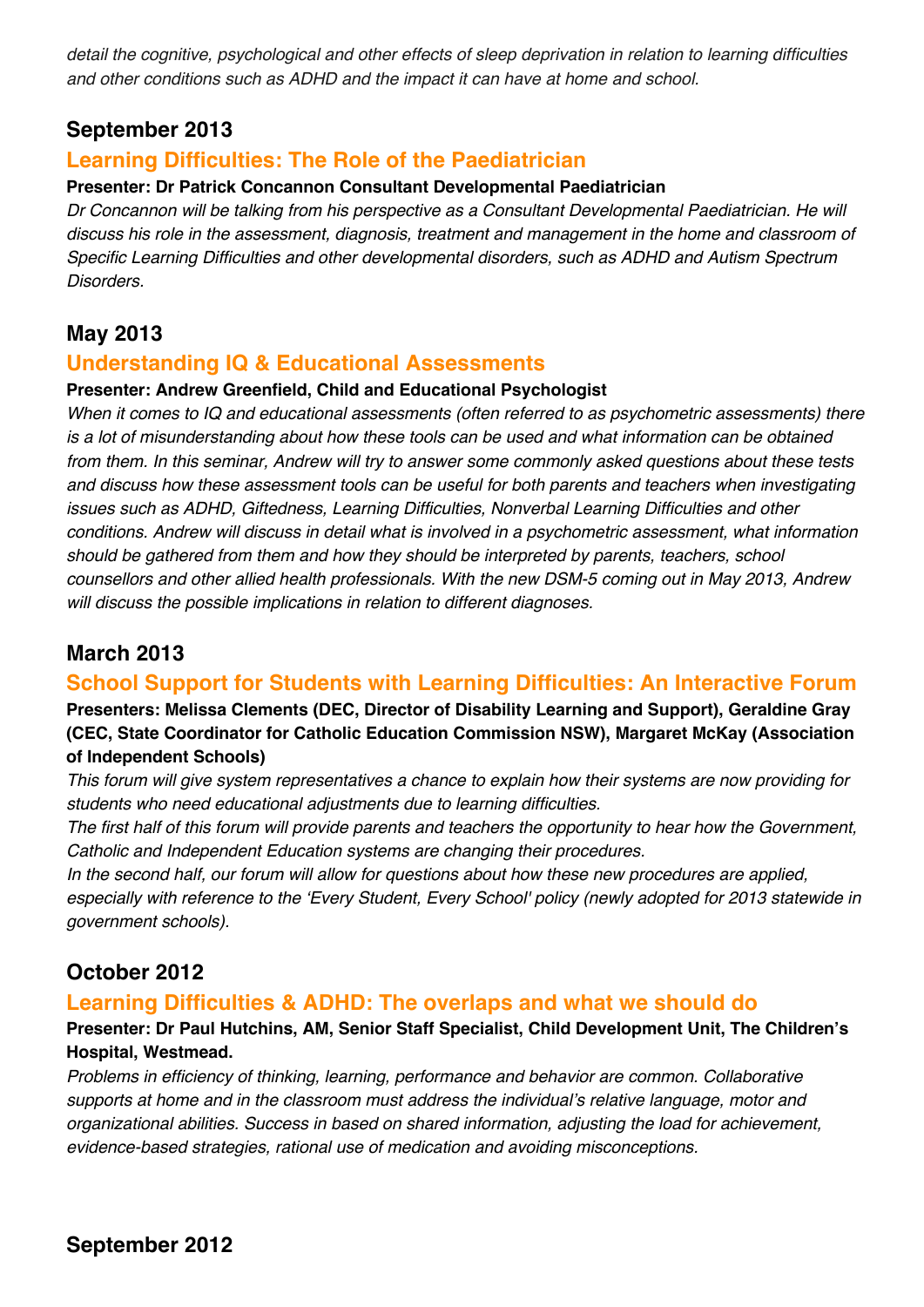*detail the cognitive, psychological and other effects of sleep deprivation in relation to learning difficulties and other conditions such as ADHD and the impact it can have at home and school.*

### **September 2013**

### **Learning Difficulties: The Role of the Paediatrician**

#### **Presenter: Dr Patrick Concannon Consultant Developmental Paediatrician**

*Dr Concannon will be talking from his perspective as a Consultant Developmental Paediatrician. He will discuss his role in the assessment, diagnosis, treatment and management in the home and classroom of Specific Learning Difficulties and other developmental disorders, such as ADHD and Autism Spectrum Disorders.*

### **May 2013**

#### **Understanding IQ & Educational Assessments**

#### **Presenter: Andrew Greenfield, Child and Educational Psychologist**

*When it comes to IQ and educational assessments (often referred to as psychometric assessments) there is a lot of misunderstanding about how these tools can be used and what information can be obtained from them. In this seminar, Andrew will try to answer some commonly asked questions about these tests and discuss how these assessment tools can be useful for both parents and teachers when investigating issues such as ADHD, Giftedness, Learning Difficulties, Nonverbal Learning Difficulties and other conditions. Andrew will discuss in detail what is involved in a psychometric assessment, what information should be gathered from them and how they should be interpreted by parents, teachers, school counsellors and other allied health professionals. With the new DSM-5 coming out in May 2013, Andrew will discuss the possible implications in relation to different diagnoses.*

### **March 2013**

#### **School Support for Students with Learning Difficulties: An Interactive Forum**

**Presenters: Melissa Clements (DEC, Director of Disability Learning and Support), Geraldine Gray (CEC, State Coordinator for Catholic Education Commission NSW), Margaret McKay (Association of Independent Schools)**

*This forum will give system representatives a chance to explain how their systems are now providing for students who need educational adjustments due to learning difficulties.*

*The first half of this forum will provide parents and teachers the opportunity to hear how the Government, Catholic and Independent Education systems are changing their procedures.*

*In the second half, our forum will allow for questions about how these new procedures are applied, especially with reference to the 'Every Student, Every School' policy (newly adopted for 2013 statewide in government schools).*

# **October 2012**

#### **Learning Difficulties & ADHD: The overlaps and what we should do**

#### **Presenter: Dr Paul Hutchins, AM, Senior Staff Specialist, Child Development Unit, The Children's Hospital, Westmead.**

*Problems in efficiency of thinking, learning, performance and behavior are common. Collaborative supports at home and in the classroom must address the individual's relative language, motor and organizational abilities. Success in based on shared information, adjusting the load for achievement, evidence-based strategies, rational use of medication and avoiding misconceptions.*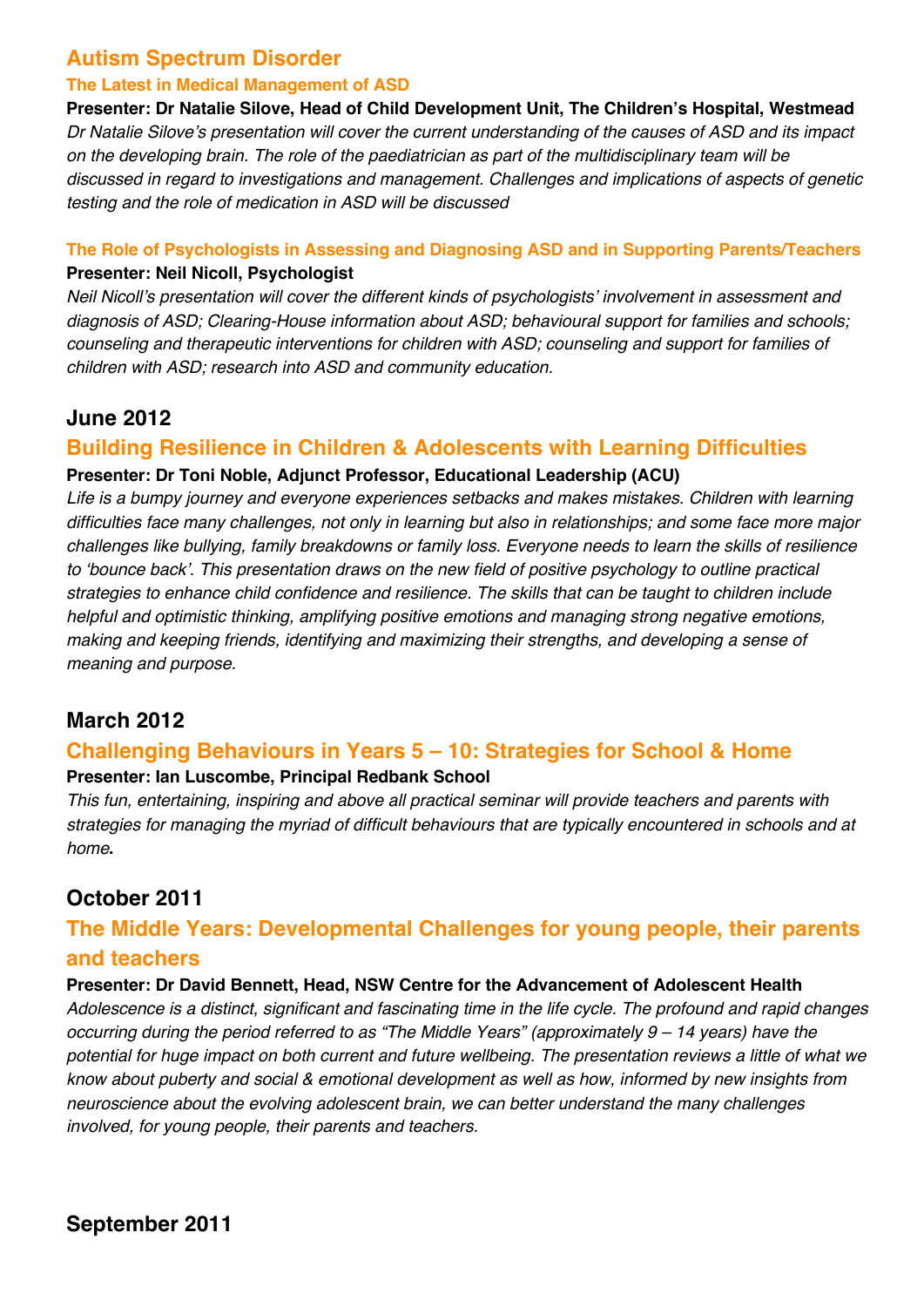### **Autism Spectrum Disorder**

#### **The Latest in Medical Management of ASD**

**Presenter: Dr Natalie Silove, Head of Child Development Unit, The Children's Hospital, Westmead** *Dr Natalie Silove's presentation will cover the current understanding of the causes of ASD and its impact on the developing brain. The role of the paediatrician as part of the multidisciplinary team will be discussed in regard to investigations and management. Challenges and implications of aspects of genetic testing and the role of medication in ASD will be discussed*

#### **The Role of Psychologists in Assessing and Diagnosing ASD and in Supporting Parents/Teachers Presenter: Neil Nicoll, Psychologist**

*Neil Nicoll's presentation will cover the different kinds of psychologists' involvement in assessment and diagnosis of ASD; Clearing-House information about ASD; behavioural support for families and schools; counseling and therapeutic interventions for children with ASD; counseling and support for families of children with ASD; research into ASD and community education.*

### **June 2012**

### **Building Resilience in Children & Adolescents with Learning Difficulties**

#### **Presenter: Dr Toni Noble, Adjunct Professor, Educational Leadership (ACU)**

*Life is a bumpy journey and everyone experiences setbacks and makes mistakes. Children with learning difficulties face many challenges, not only in learning but also in relationships; and some face more major challenges like bullying, family breakdowns or family loss. Everyone needs to learn the skills of resilience to 'bounce back'. This presentation draws on the new field of positive psychology to outline practical strategies to enhance child confidence and resilience. The skills that can be taught to children include helpful and optimistic thinking, amplifying positive emotions and managing strong negative emotions, making and keeping friends, identifying and maximizing their strengths, and developing a sense of meaning and purpose.*

# **March 2012**

### **Challenging Behaviours in Years 5 – 10: Strategies for School & Home**

#### **Presenter: Ian Luscombe, Principal Redbank School**

*This fun, entertaining, inspiring and above all practical seminar will provide teachers and parents with strategies for managing the myriad of difficult behaviours that are typically encountered in schools and at home***.**

# **October 2011**

# **The Middle Years: Developmental Challenges for young people, their parents and teachers**

#### **Presenter: Dr David Bennett, Head, NSW Centre for the Advancement of Adolescent Health**

*Adolescence is a distinct, significant and fascinating time in the life cycle. The profound and rapid changes occurring during the period referred to as "The Middle Years" (approximately 9 – 14 years) have the potential for huge impact on both current and future wellbeing. The presentation reviews a little of what we know about puberty and social & emotional development as well as how, informed by new insights from neuroscience about the evolving adolescent brain, we can better understand the many challenges involved, for young people, their parents and teachers.*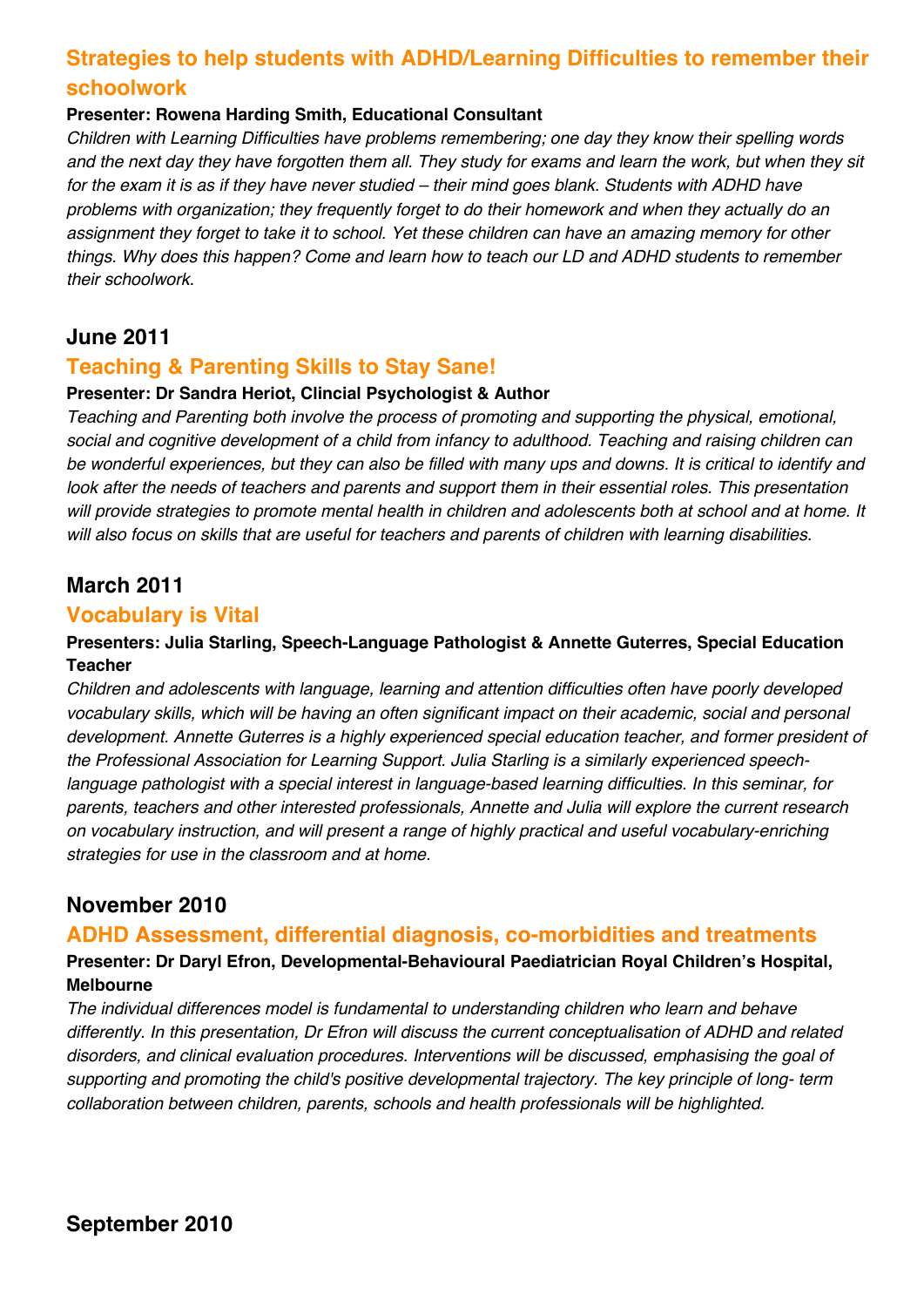# **Strategies to help students with ADHD/Learning Difficulties to remember their schoolwork**

#### **Presenter: Rowena Harding Smith, Educational Consultant**

*Children with Learning Difficulties have problems remembering; one day they know their spelling words and the next day they have forgotten them all. They study for exams and learn the work, but when they sit for the exam it is as if they have never studied – their mind goes blank. Students with ADHD have problems with organization; they frequently forget to do their homework and when they actually do an assignment they forget to take it to school. Yet these children can have an amazing memory for other things. Why does this happen? Come and learn how to teach our LD and ADHD students to remember their schoolwork.*

# **June 2011**

### **Teaching & Parenting Skills to Stay Sane!**

#### **Presenter: Dr Sandra Heriot, Clincial Psychologist & Author**

*Teaching and Parenting both involve the process of promoting and supporting the physical, emotional, social and cognitive development of a child from infancy to adulthood. Teaching and raising children can be wonderful experiences, but they can also be filled with many ups and downs. It is critical to identify and look after the needs of teachers and parents and support them in their essential roles. This presentation will provide strategies to promote mental health in children and adolescents both at school and at home. It will also focus on skills that are useful for teachers and parents of children with learning disabilities.*

# **March 2011**

#### **Vocabulary is Vital**

#### **Presenters: Julia Starling, Speech-Language Pathologist & Annette Guterres, Special Education Teacher**

*Children and adolescents with language, learning and attention difficulties often have poorly developed vocabulary skills, which will be having an often significant impact on their academic, social and personal development. Annette Guterres is a highly experienced special education teacher, and former president of the Professional Association for Learning Support. Julia Starling is a similarly experienced speechlanguage pathologist with a special interest in language-based learning difficulties. In this seminar, for parents, teachers and other interested professionals, Annette and Julia will explore the current research on vocabulary instruction, and will present a range of highly practical and useful vocabulary-enriching strategies for use in the classroom and at home.*

# **November 2010**

### **ADHD Assessment, differential diagnosis, co-morbidities and treatments**

#### **Presenter: Dr Daryl Efron, Developmental-Behavioural Paediatrician Royal Children's Hospital, Melbourne**

*The individual differences model is fundamental to understanding children who learn and behave differently. In this presentation, Dr Efron will discuss the current conceptualisation of ADHD and related disorders, and clinical evaluation procedures. Interventions will be discussed, emphasising the goal of supporting and promoting the child's positive developmental trajectory. The key principle of long- term collaboration between children, parents, schools and health professionals will be highlighted.*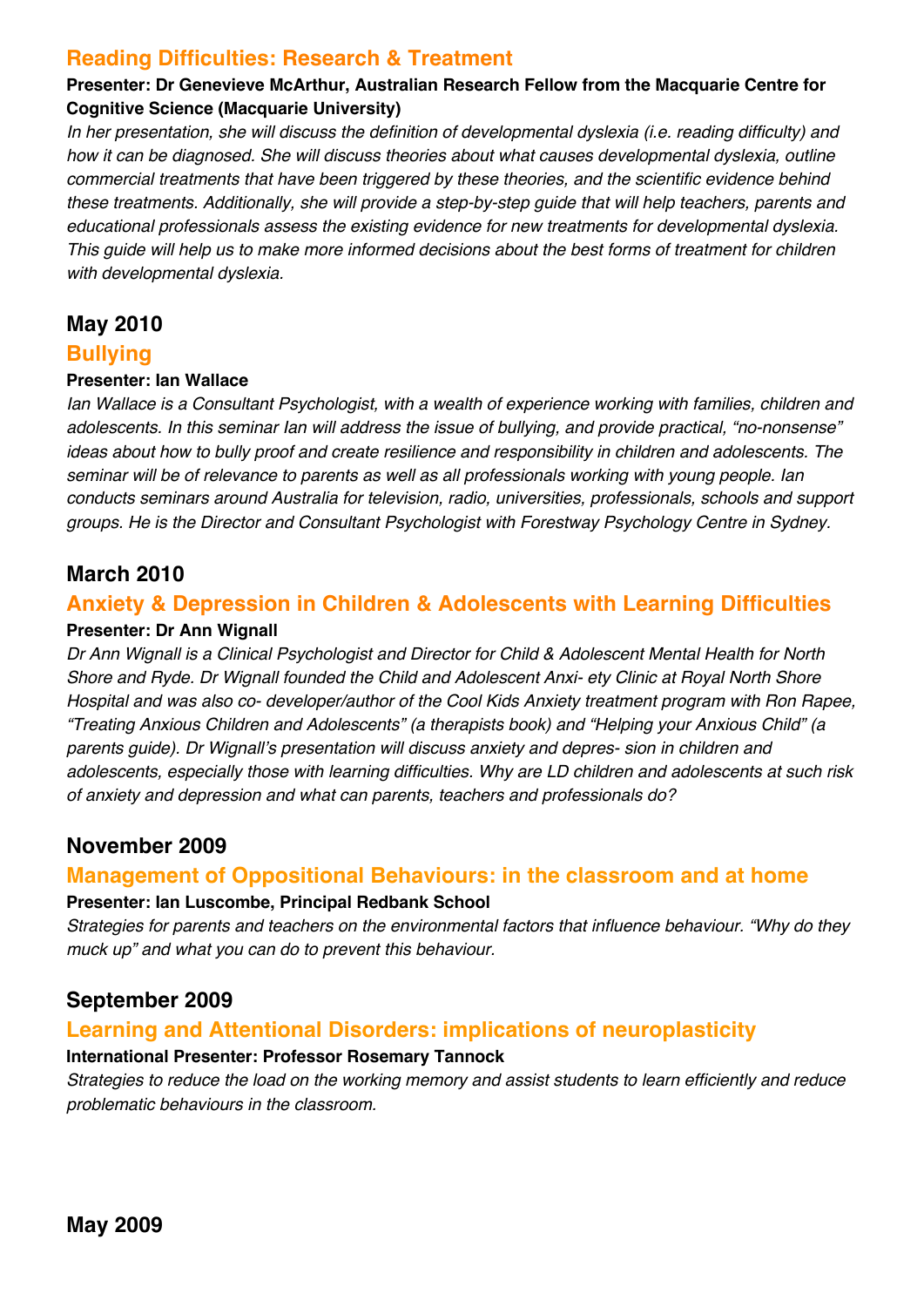### **Reading Difficulties: Research & Treatment**

#### **Presenter: Dr Genevieve McArthur, Australian Research Fellow from the Macquarie Centre for Cognitive Science (Macquarie University)**

*In her presentation, she will discuss the definition of developmental dyslexia (i.e. reading difficulty) and how it can be diagnosed. She will discuss theories about what causes developmental dyslexia, outline commercial treatments that have been triggered by these theories, and the scientific evidence behind these treatments. Additionally, she will provide a step-by-step guide that will help teachers, parents and educational professionals assess the existing evidence for new treatments for developmental dyslexia. This guide will help us to make more informed decisions about the best forms of treatment for children with developmental dyslexia.*

### **May 2010**

#### **Bullying**

#### **Presenter: Ian Wallace**

*Ian Wallace is a Consultant Psychologist, with a wealth of experience working with families, children and adolescents. In this seminar Ian will address the issue of bullying, and provide practical, "no-nonsense" ideas about how to bully proof and create resilience and responsibility in children and adolescents. The seminar will be of relevance to parents as well as all professionals working with young people. Ian conducts seminars around Australia for television, radio, universities, professionals, schools and support groups. He is the Director and Consultant Psychologist with Forestway Psychology Centre in Sydney.*

### **March 2010**

#### **Anxiety & Depression in Children & Adolescents with Learning Difficulties**

#### **Presenter: Dr Ann Wignall**

*Dr Ann Wignall is a Clinical Psychologist and Director for Child & Adolescent Mental Health for North Shore and Ryde. Dr Wignall founded the Child and Adolescent Anxi- ety Clinic at Royal North Shore Hospital and was also co- developer/author of the Cool Kids Anxiety treatment program with Ron Rapee, "Treating Anxious Children and Adolescents" (a therapists book) and "Helping your Anxious Child" (a parents guide). Dr Wignall's presentation will discuss anxiety and depres- sion in children and adolescents, especially those with learning difficulties. Why are LD children and adolescents at such risk of anxiety and depression and what can parents, teachers and professionals do?*

### **November 2009**

#### **Management of Oppositional Behaviours: in the classroom and at home**

#### **Presenter: Ian Luscombe, Principal Redbank School**

*Strategies for parents and teachers on the environmental factors that influence behaviour. "Why do they muck up" and what you can do to prevent this behaviour.*

### **September 2009**

### **Learning and Attentional Disorders: implications of neuroplasticity**

#### **International Presenter: Professor Rosemary Tannock**

*Strategies to reduce the load on the working memory and assist students to learn efficiently and reduce problematic behaviours in the classroom.*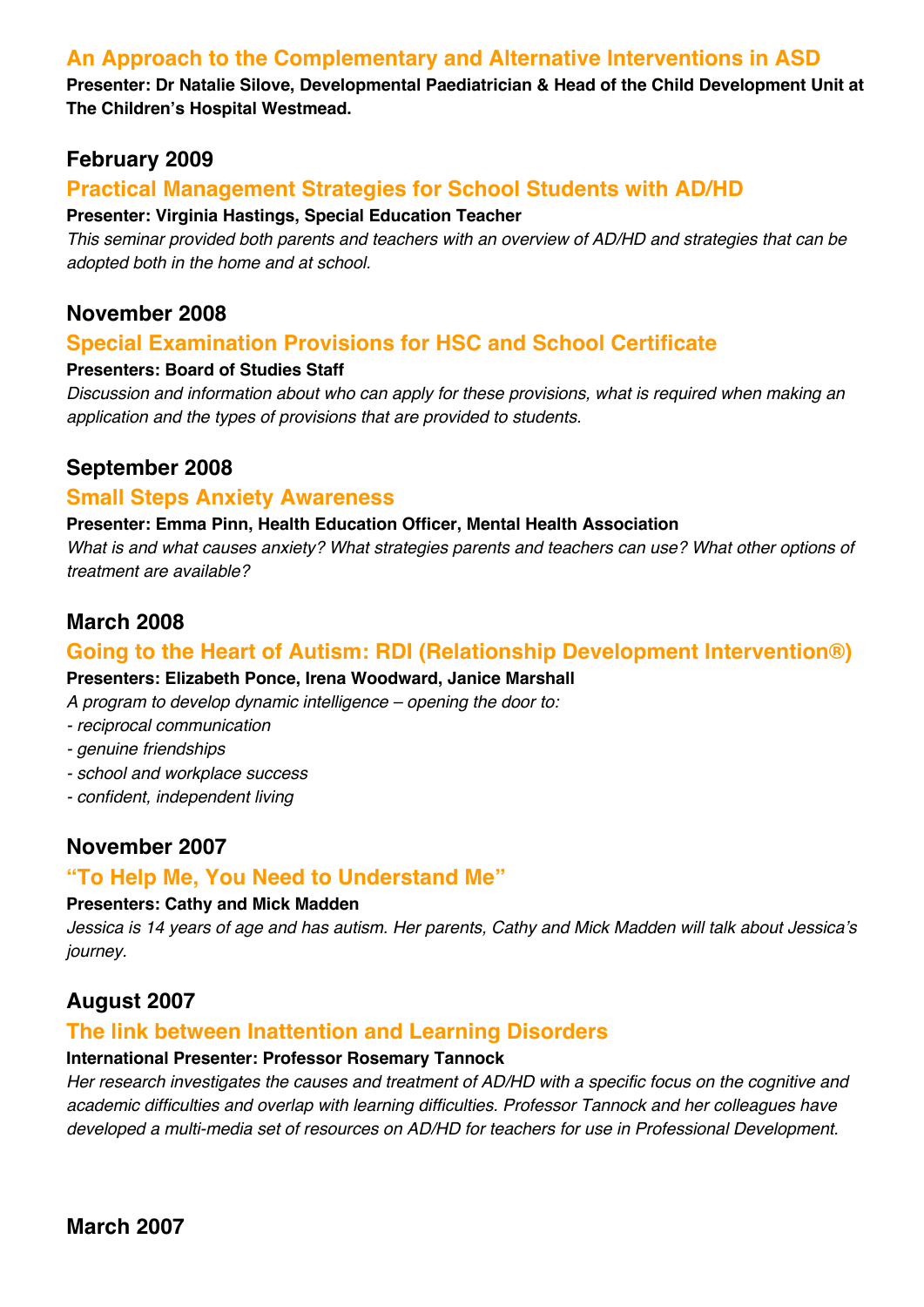### **An Approach to the Complementary and Alternative Interventions in ASD**

**Presenter: Dr Natalie Silove, Developmental Paediatrician & Head of the Child Development Unit at The Children's Hospital Westmead.**

### **February 2009**

### **Practical Management Strategies for School Students with AD/HD**

#### **Presenter: Virginia Hastings, Special Education Teacher**

*This seminar provided both parents and teachers with an overview of AD/HD and strategies that can be adopted both in the home and at school.*

### **November 2008**

### **Special Examination Provisions for HSC and School Certificate**

#### **Presenters: Board of Studies Staff**

*Discussion and information about who can apply for these provisions, what is required when making an application and the types of provisions that are provided to students.*

### **September 2008**

#### **Small Steps Anxiety Awareness**

#### **Presenter: Emma Pinn, Health Education Officer, Mental Health Association**

*What is and what causes anxiety? What strategies parents and teachers can use? What other options of treatment are available?*

### **March 2008**

#### **Going to the Heart of Autism: RDI (Relationship Development Intervention®)**

#### **Presenters: Elizabeth Ponce, Irena Woodward, Janice Marshall**

*A program to develop dynamic intelligence – opening the door to:*

- *- reciprocal communication*
- *- genuine friendships*
- *- school and workplace success*
- *- confident, independent living*

### **November 2007**

### **"To Help Me, You Need to Understand Me"**

#### **Presenters: Cathy and Mick Madden**

*Jessica is 14 years of age and has autism. Her parents, Cathy and Mick Madden will talk about Jessica's journey.*

### **August 2007**

#### **The link between Inattention and Learning Disorders**

#### **International Presenter: Professor Rosemary Tannock**

*Her research investigates the causes and treatment of AD/HD with a specific focus on the cognitive and academic difficulties and overlap with learning difficulties. Professor Tannock and her colleagues have developed a multi-media set of resources on AD/HD for teachers for use in Professional Development.*